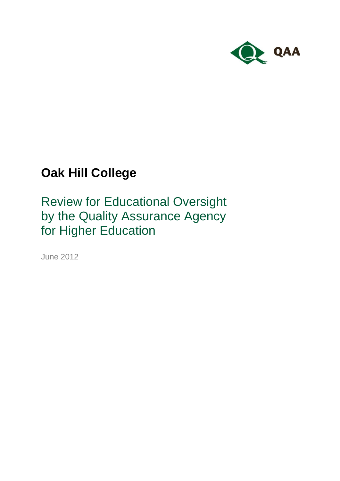

# **Oak Hill College**

Review for Educational Oversight by the Quality Assurance Agency for Higher Education

June 2012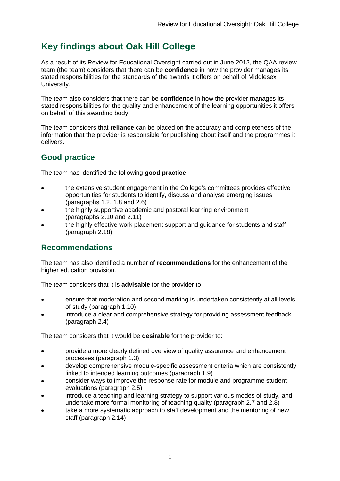## **Key findings about Oak Hill College**

As a result of its Review for Educational Oversight carried out in June 2012, the QAA review team (the team) considers that there can be **confidence** in how the provider manages its stated responsibilities for the standards of the awards it offers on behalf of Middlesex University.

The team also considers that there can be **confidence** in how the provider manages its stated responsibilities for the quality and enhancement of the learning opportunities it offers on behalf of this awarding body.

The team considers that **reliance** can be placed on the accuracy and completeness of the information that the provider is responsible for publishing about itself and the programmes it delivers.

### **Good practice**

The team has identified the following **good practice**:

- the extensive student engagement in the College's committees provides effective opportunities for students to identify, discuss and analyse emerging issues (paragraphs 1.2, 1.8 and 2.6)
- the highly supportive academic and pastoral learning environment (paragraphs 2.10 and 2.11)
- the highly effective work placement support and guidance for students and staff (paragraph 2.18)

### **Recommendations**

The team has also identified a number of **recommendations** for the enhancement of the higher education provision.

The team considers that it is **advisable** for the provider to:

- ensure that moderation and second marking is undertaken consistently at all levels  $\bullet$ of study (paragraph 1.10)
- introduce a clear and comprehensive strategy for providing assessment feedback (paragraph 2.4)

The team considers that it would be **desirable** for the provider to:

- provide a more clearly defined overview of quality assurance and enhancement processes (paragraph 1.3)
- develop comprehensive module-specific assessment criteria which are consistently linked to intended learning outcomes (paragraph 1.9)
- consider ways to improve the response rate for module and programme student evaluations (paragraph 2.5)
- introduce a teaching and learning strategy to support various modes of study, and undertake more formal monitoring of teaching quality (paragraph 2.7 and 2.8)
- take a more systematic approach to staff development and the mentoring of new staff (paragraph 2.14)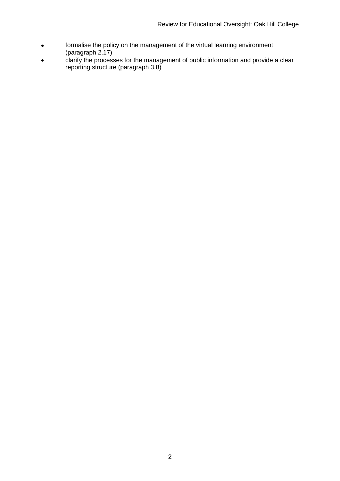- formalise the policy on the management of the virtual learning environment  $\bullet$ (paragraph 2.17)
- $\bullet$ clarify the processes for the management of public information and provide a clear reporting structure (paragraph 3.8)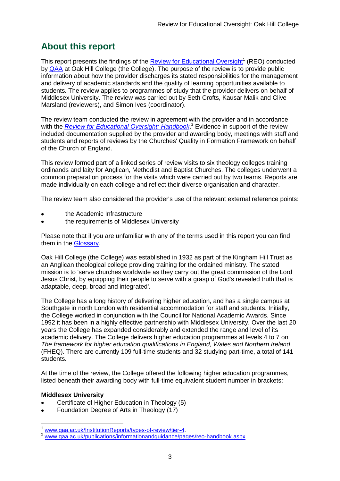## **About this report**

This report presents the findings of the **Review for Educational Oversight**<sup>1</sup> (REO) conducted by [QAA](#page-27-0) at Oak Hill College (the College). The purpose of the review is to provide public information about how the provider discharges its stated responsibilities for the management and delivery of academic standards and the quality of learning opportunities available to students. The review applies to programmes of study that the provider delivers on behalf of Middlesex University. The review was carried out by Seth Crofts, Kausar Malik and Clive Marsland (reviewers), and Simon Ives (coordinator).

The review team conducted the review in agreement with the provider and in accordance with the *[Review for Educational Oversight:](http://www.qaa.ac.uk/Publications/InformationAndGuidance/Pages/REO-handbook.aspx) Handbook*. <sup>2</sup> Evidence in support of the review included documentation supplied by the provider and awarding body, meetings with staff and students and reports of reviews by the Churches' Quality in Formation Framework on behalf of the Church of England.

This review formed part of a linked series of review visits to six theology colleges training ordinands and laity for Anglican, Methodist and Baptist Churches. The colleges underwent a common preparation process for the visits which were carried out by two teams. Reports are made individually on each college and reflect their diverse organisation and character.

The review team also considered the provider's use of the relevant external reference points:

- the Academic Infrastructure
- the requirements of Middlesex University

Please note that if you are unfamiliar with any of the terms used in this report you can find them in the [Glossary.](#page-27-1)

Oak Hill College (the College) was established in 1932 as part of the Kingham Hill Trust as an Anglican theological college providing training for the ordained ministry. The stated mission is to 'serve churches worldwide as they carry out the great commission of the Lord Jesus Christ, by equipping their people to serve with a grasp of God's revealed truth that is adaptable, deep, broad and integrated'.

The College has a long history of delivering higher education, and has a single campus at Southgate in north London with residential accommodation for staff and students. Initially, the College worked in conjunction with the Council for National Academic Awards. Since 1992 it has been in a highly effective partnership with Middlesex University. Over the last 20 years the College has expanded considerably and extended the range and level of its academic delivery. The College delivers higher education programmes at levels 4 to 7 on *The framework for higher education qualifications in England, Wales and Northern Ireland* (FHEQ). There are currently 109 full-time students and 32 studying part-time, a total of 141 students.

At the time of the review, the College offered the following higher education programmes, listed beneath their awarding body with full-time equivalent student number in brackets:

#### **Middlesex University**

-

- Certificate of Higher Education in Theology (5)
- Foundation Degree of Arts in Theology (17)

www.gaa.ac.uk/InstitutionReports/types-of-review/tier-4.

www.gaa.ac.uk/publications/informationandguidance/pages/reo-handbook.aspx.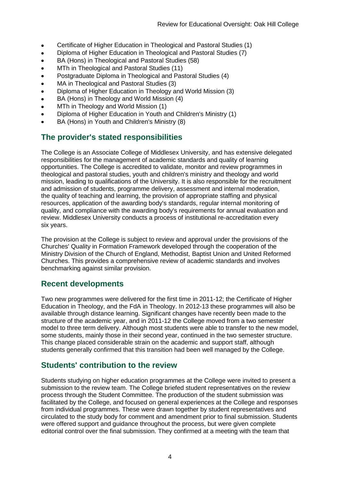- Certificate of Higher Education in Theological and Pastoral Studies (1)  $\bullet$
- Diploma of Higher Education in Theological and Pastoral Studies (7)
- BA (Hons) in Theological and Pastoral Studies (58)
- MTh in Theological and Pastoral Studies (11)  $\bullet$
- Postgraduate Diploma in Theological and Pastoral Studies (4)  $\bullet$
- MA in Theological and Pastoral Studies (3)
- Diploma of Higher Education in Theology and World Mission (3)
- BA (Hons) in Theology and World Mission (4)  $\bullet$
- MTh in Theology and World Mission (1)
- Diploma of Higher Education in Youth and Children's Ministry (1)
- BA (Hons) in Youth and Children's Ministry (8)

### **The provider's stated responsibilities**

The College is an Associate College of Middlesex University, and has extensive delegated responsibilities for the management of academic standards and quality of learning opportunities. The College is accredited to validate, monitor and review programmes in theological and pastoral studies, youth and children's ministry and theology and world mission, leading to qualifications of the University. It is also responsible for the recruitment and admission of students, programme delivery, assessment and internal moderation, the quality of teaching and learning, the provision of appropriate staffing and physical resources, application of the awarding body's standards, regular internal monitoring of quality, and compliance with the awarding body's requirements for annual evaluation and review. Middlesex University conducts a process of institutional re-accreditation every six years.

The provision at the College is subject to review and approval under the provisions of the Churches' Quality in Formation Framework developed through the cooperation of the Ministry Division of the Church of England, Methodist, Baptist Union and United Reformed Churches. This provides a comprehensive review of academic standards and involves benchmarking against similar provision.

### **Recent developments**

Two new programmes were delivered for the first time in 2011-12; the Certificate of Higher Education in Theology, and the FdA in Theology. In 2012-13 these programmes will also be available through distance learning. Significant changes have recently been made to the structure of the academic year, and in 2011-12 the College moved from a two semester model to three term delivery. Although most students were able to transfer to the new model, some students, mainly those in their second year, continued in the two semester structure. This change placed considerable strain on the academic and support staff, although students generally confirmed that this transition had been well managed by the College.

### **Students' contribution to the review**

Students studying on higher education programmes at the College were invited to present a submission to the review team. The College briefed student representatives on the review process through the Student Committee. The production of the student submission was facilitated by the College, and focused on general experiences at the College and responses from individual programmes. These were drawn together by student representatives and circulated to the study body for comment and amendment prior to final submission. Students were offered support and guidance throughout the process, but were given complete editorial control over the final submission. They confirmed at a meeting with the team that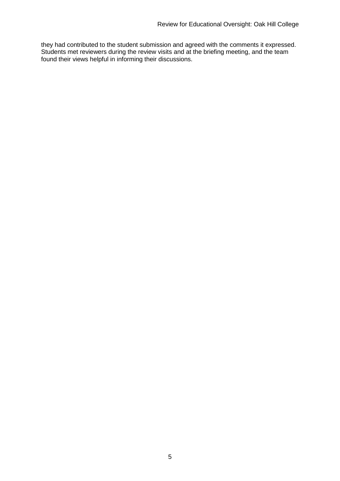they had contributed to the student submission and agreed with the comments it expressed. Students met reviewers during the review visits and at the briefing meeting, and the team found their views helpful in informing their discussions.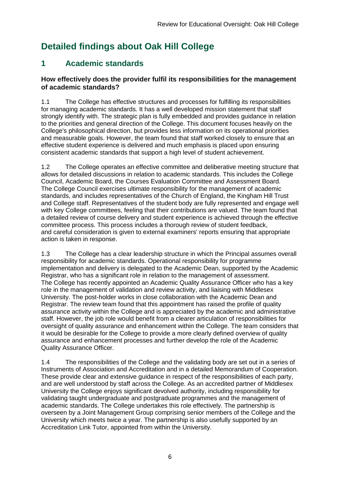## **Detailed findings about Oak Hill College**

## **1 Academic standards**

#### **How effectively does the provider fulfil its responsibilities for the management of academic standards?**

1.1 The College has effective structures and processes for fulfilling its responsibilities for managing academic standards. It has a well developed mission statement that staff strongly identify with. The strategic plan is fully embedded and provides guidance in relation to the priorities and general direction of the College. This document focuses heavily on the College's philosophical direction, but provides less information on its operational priorities and measurable goals. However, the team found that staff worked closely to ensure that an effective student experience is delivered and much emphasis is placed upon ensuring consistent academic standards that support a high level of student achievement.

1.2 The College operates an effective committee and deliberative meeting structure that allows for detailed discussions in relation to academic standards. This includes the College Council, Academic Board, the Courses Evaluation Committee and Assessment Board. The College Council exercises ultimate responsibility for the management of academic standards, and includes representatives of the Church of England, the Kingham Hill Trust and College staff. Representatives of the student body are fully represented and engage well with key College committees, feeling that their contributions are valued. The team found that a detailed review of course delivery and student experience is achieved through the effective committee process. This process includes a thorough review of student feedback, and careful consideration is given to external examiners' reports ensuring that appropriate action is taken in response.

1.3 The College has a clear leadership structure in which the Principal assumes overall responsibility for academic standards. Operational responsibility for programme implementation and delivery is delegated to the Academic Dean, supported by the Academic Registrar, who has a significant role in relation to the management of assessment. The College has recently appointed an Academic Quality Assurance Officer who has a key role in the management of validation and review activity, and liaising with Middlesex University. The post-holder works in close collaboration with the Academic Dean and Registrar. The review team found that this appointment has raised the profile of quality assurance activity within the College and is appreciated by the academic and administrative staff. However, the job role would benefit from a clearer articulation of responsibilities for oversight of quality assurance and enhancement within the College. The team considers that it would be desirable for the College to provide a more clearly defined overview of quality assurance and enhancement processes and further develop the role of the Academic Quality Assurance Officer.

1.4 The responsibilities of the College and the validating body are set out in a series of Instruments of Association and Accreditation and in a detailed Memorandum of Cooperation. These provide clear and extensive guidance in respect of the responsibilities of each party, and are well understood by staff across the College. As an accredited partner of Middlesex University the College enjoys significant devolved authority, including responsibility for validating taught undergraduate and postgraduate programmes and the management of academic standards. The College undertakes this role effectively. The partnership is overseen by a Joint Management Group comprising senior members of the College and the University which meets twice a year. The partnership is also usefully supported by an Accreditation Link Tutor, appointed from within the University.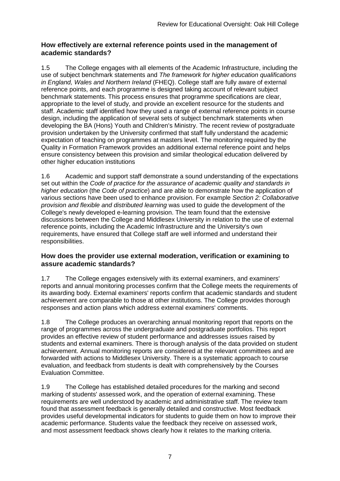#### **How effectively are external reference points used in the management of academic standards?**

1.5 The College engages with all elements of the Academic Infrastructure, including the use of subject benchmark statements and *The framework for higher education qualifications in England, Wales and Northern Ireland* (FHEQ). College staff are fully aware of external reference points, and each programme is designed taking account of relevant subject benchmark statements. This process ensures that programme specifications are clear, appropriate to the level of study, and provide an excellent resource for the students and staff. Academic staff identified how they used a range of external reference points in course design, including the application of several sets of subject benchmark statements when developing the BA (Hons) Youth and Children's Ministry. The recent review of postgraduate provision undertaken by the University confirmed that staff fully understand the academic expectation of teaching on programmes at masters level. The monitoring required by the Quality in Formation Framework provides an additional external reference point and helps ensure consistency between this provision and similar theological education delivered by other higher education institutions

1.6 Academic and support staff demonstrate a sound understanding of the expectations set out within the *Code of practice for the assurance of academic quality and standards in higher education* (the *Code of practice*) and are able to demonstrate how the application of various sections have been used to enhance provision. For example *Section 2: Collaborative provision and flexible and distributed learning* was used to guide the development of the College's newly developed e-learning provision. The team found that the extensive discussions between the College and Middlesex University in relation to the use of external reference points, including the Academic Infrastructure and the University's own requirements, have ensured that College staff are well informed and understand their responsibilities.

#### **How does the provider use external moderation, verification or examining to assure academic standards?**

1.7 The College engages extensively with its external examiners, and examiners' reports and annual monitoring processes confirm that the College meets the requirements of its awarding body. External examiners' reports confirm that academic standards and student achievement are comparable to those at other institutions. The College provides thorough responses and action plans which address external examiners' comments.

1.8 The College produces an overarching annual monitoring report that reports on the range of programmes across the undergraduate and postgraduate portfolios. This report provides an effective review of student performance and addresses issues raised by students and external examiners. There is thorough analysis of the data provided on student achievement. Annual monitoring reports are considered at the relevant committees and are forwarded with actions to Middlesex University. There is a systematic approach to course evaluation, and feedback from students is dealt with comprehensively by the Courses Evaluation Committee.

1.9 The College has established detailed procedures for the marking and second marking of students' assessed work, and the operation of external examining. These requirements are well understood by academic and administrative staff. The review team found that assessment feedback is generally detailed and constructive. Most feedback provides useful developmental indicators for students to guide them on how to improve their academic performance. Students value the feedback they receive on assessed work, and most assessment feedback shows clearly how it relates to the marking criteria.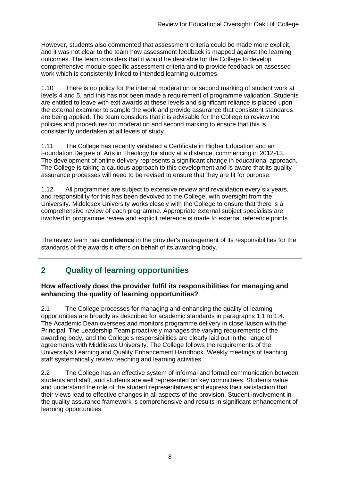However, students also commented that assessment criteria could be made more explicit, and it was not clear to the team how assessment feedback is mapped against the learning outcomes. The team considers that it would be desirable for the College to develop comprehensive module-specific assessment criteria and to provide feedback on assessed work which is consistently linked to intended learning outcomes.

1.10 There is no policy for the internal moderation or second marking of student work at levels 4 and 5, and this has not been made a requirement of programme validation. Students are entitled to leave with exit awards at these levels and significant reliance is placed upon the external examiner to sample the work and provide assurance that consistent standards are being applied. The team considers that it is advisable for the College to review the policies and procedures for moderation and second marking to ensure that this is consistently undertaken at all levels of study.

1.11 The College has recently validated a Certificate in Higher Education and an Foundation Degree of Arts in Theology for study at a distance, commencing in 2012-13. The development of online delivery represents a significant change in educational approach. The College is taking a cautious approach to this development and is aware that its quality assurance processes will need to be revised to ensure that they are fit for purpose.

1.12 All programmes are subject to extensive review and revalidation every six years, and responsibility for this has been devolved to the College, with oversight from the University. Middlesex University works closely with the College to ensure that there is a comprehensive review of each programme. Appropriate external subject specialists are involved in programme review and explicit reference is made to external reference points.

The review team has **confidence** in the provider's management of its responsibilities for the standards of the awards it offers on behalf of its awarding body.

### **2 Quality of learning opportunities**

#### **How effectively does the provider fulfil its responsibilities for managing and enhancing the quality of learning opportunities?**

2.1 The College processes for managing and enhancing the quality of learning opportunities are broadly as described for academic standards in paragraphs 1.1 to 1.4. The Academic Dean oversees and monitors programme delivery in close liaison with the Principal. The Leadership Team proactively manages the varying requirements of the awarding body, and the College's responsibilities are clearly laid out in the range of agreements with Middlesex University. The College follows the requirements of the University's Learning and Quality Enhancement Handbook. Weekly meetings of teaching staff systematically review teaching and learning activities.

2.2 The College has an effective system of informal and formal communication between students and staff, and students are well represented on key committees. Students value and understand the role of the student representatives and express their satisfaction that their views lead to effective changes in all aspects of the provision. Student involvement in the quality assurance framework is comprehensive and results in significant enhancement of learning opportunities.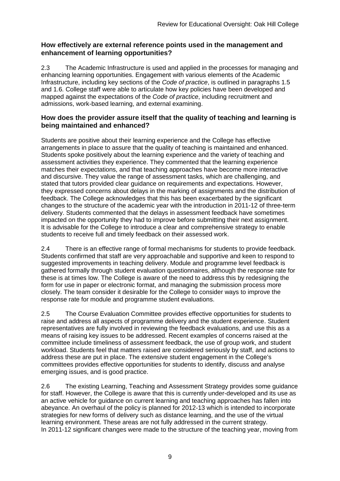#### **How effectively are external reference points used in the management and enhancement of learning opportunities?**

2.3 The Academic Infrastructure is used and applied in the processes for managing and enhancing learning opportunities. Engagement with various elements of the Academic Infrastructure, including key sections of the *Code of practice*, is outlined in paragraphs 1.5 and 1.6. College staff were able to articulate how key policies have been developed and mapped against the expectations of the *Code of practice*, including recruitment and admissions, work-based learning, and external examining.

#### **How does the provider assure itself that the quality of teaching and learning is being maintained and enhanced?**

Students are positive about their learning experience and the College has effective arrangements in place to assure that the quality of teaching is maintained and enhanced. Students spoke positively about the learning experience and the variety of teaching and assessment activities they experience. They commented that the learning experience matches their expectations, and that teaching approaches have become more interactive and discursive. They value the range of assessment tasks, which are challenging, and stated that tutors provided clear guidance on requirements and expectations. However, they expressed concerns about delays in the marking of assignments and the distribution of feedback. The College acknowledges that this has been exacerbated by the significant changes to the structure of the academic year with the introduction in 2011-12 of three-term delivery. Students commented that the delays in assessment feedback have sometimes impacted on the opportunity they had to improve before submitting their next assignment. It is advisable for the College to introduce a clear and comprehensive strategy to enable students to receive full and timely feedback on their assessed work.

2.4 There is an effective range of formal mechanisms for students to provide feedback. Students confirmed that staff are very approachable and supportive and keen to respond to suggested improvements in teaching delivery. Module and programme level feedback is gathered formally through student evaluation questionnaires, although the response rate for these is at times low. The College is aware of the need to address this by redesigning the form for use in paper or electronic format, and managing the submission process more closely. The team consider it desirable for the College to consider ways to improve the response rate for module and programme student evaluations.

2.5 The Course Evaluation Committee provides effective opportunities for students to raise and address all aspects of programme delivery and the student experience. Student representatives are fully involved in reviewing the feedback evaluations, and use this as a means of raising key issues to be addressed. Recent examples of concerns raised at the committee include timeliness of assessment feedback, the use of group work, and student workload. Students feel that matters raised are considered seriously by staff, and actions to address these are put in place. The extensive student engagement in the College's committees provides effective opportunities for students to identify, discuss and analyse emerging issues, and is good practice.

2.6 The existing Learning, Teaching and Assessment Strategy provides some guidance for staff. However, the College is aware that this is currently under-developed and its use as an active vehicle for guidance on current learning and teaching approaches has fallen into abeyance. An overhaul of the policy is planned for 2012-13 which is intended to incorporate strategies for new forms of delivery such as distance learning, and the use of the virtual learning environment. These areas are not fully addressed in the current strategy. In 2011-12 significant changes were made to the structure of the teaching year, moving from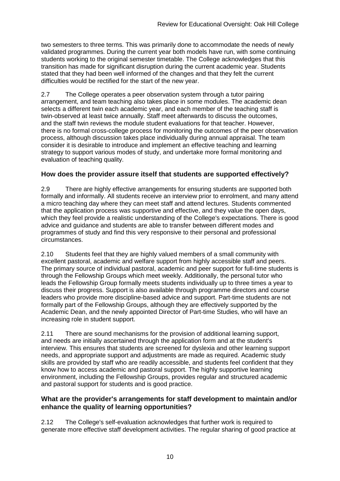two semesters to three terms. This was primarily done to accommodate the needs of newly validated programmes. During the current year both models have run, with some continuing students working to the original semester timetable. The College acknowledges that this transition has made for significant disruption during the current academic year. Students stated that they had been well informed of the changes and that they felt the current difficulties would be rectified for the start of the new year.

2.7 The College operates a peer observation system through a tutor pairing arrangement, and team teaching also takes place in some modules. The academic dean selects a different twin each academic year, and each member of the teaching staff is twin-observed at least twice annually. Staff meet afterwards to discuss the outcomes, and the staff twin reviews the module student evaluations for that teacher. However, there is no formal cross-college process for monitoring the outcomes of the peer observation process, although discussion takes place individually during annual appraisal. The team consider it is desirable to introduce and implement an effective teaching and learning strategy to support various modes of study, and undertake more formal monitoring and evaluation of teaching quality.

#### **How does the provider assure itself that students are supported effectively?**

2.9 There are highly effective arrangements for ensuring students are supported both formally and informally. All students receive an interview prior to enrolment, and many attend a micro teaching day where they can meet staff and attend lectures. Students commented that the application process was supportive and effective, and they value the open days, which they feel provide a realistic understanding of the College's expectations. There is good advice and guidance and students are able to transfer between different modes and programmes of study and find this very responsive to their personal and professional circumstances.

2.10 Students feel that they are highly valued members of a small community with excellent pastoral, academic and welfare support from highly accessible staff and peers. The primary source of individual pastoral, academic and peer support for full-time students is through the Fellowship Groups which meet weekly. Additionally, the personal tutor who leads the Fellowship Group formally meets students individually up to three times a year to discuss their progress. Support is also available through programme directors and course leaders who provide more discipline-based advice and support. Part-time students are not formally part of the Fellowship Groups, although they are effectively supported by the Academic Dean, and the newly appointed Director of Part-time Studies, who will have an increasing role in student support.

2.11 There are sound mechanisms for the provision of additional learning support, and needs are initially ascertained through the application form and at the student's interview. This ensures that students are screened for dyslexia and other learning support needs, and appropriate support and adjustments are made as required. Academic study skills are provided by staff who are readily accessible, and students feel confident that they know how to access academic and pastoral support. The highly supportive learning environment, including the Fellowship Groups, provides regular and structured academic and pastoral support for students and is good practice.

#### **What are the provider's arrangements for staff development to maintain and/or enhance the quality of learning opportunities?**

2.12 The College's self-evaluation acknowledges that further work is required to generate more effective staff development activities. The regular sharing of good practice at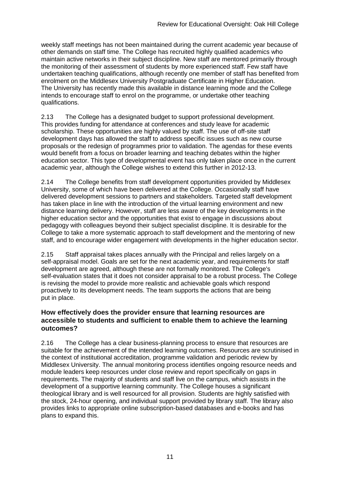weekly staff meetings has not been maintained during the current academic year because of other demands on staff time. The College has recruited highly qualified academics who maintain active networks in their subject discipline. New staff are mentored primarily through the monitoring of their assessment of students by more experienced staff. Few staff have undertaken teaching qualifications, although recently one member of staff has benefited from enrolment on the Middlesex University Postgraduate Certificate in Higher Education. The University has recently made this available in distance learning mode and the College intends to encourage staff to enrol on the programme, or undertake other teaching qualifications.

2.13 The College has a designated budget to support professional development. This provides funding for attendance at conferences and study leave for academic scholarship. These opportunities are highly valued by staff. The use of off-site staff development days has allowed the staff to address specific issues such as new course proposals or the redesign of programmes prior to validation. The agendas for these events would benefit from a focus on broader learning and teaching debates within the higher education sector. This type of developmental event has only taken place once in the current academic year, although the College wishes to extend this further in 2012-13.

2.14 The College benefits from staff development opportunities provided by Middlesex University, some of which have been delivered at the College. Occasionally staff have delivered development sessions to partners and stakeholders. Targeted staff development has taken place in line with the introduction of the virtual learning environment and new distance learning delivery. However, staff are less aware of the key developments in the higher education sector and the opportunities that exist to engage in discussions about pedagogy with colleagues beyond their subject specialist discipline. It is desirable for the College to take a more systematic approach to staff development and the mentoring of new staff, and to encourage wider engagement with developments in the higher education sector.

2.15 Staff appraisal takes places annually with the Principal and relies largely on a self-appraisal model. Goals are set for the next academic year, and requirements for staff development are agreed, although these are not formally monitored. The College's self-evaluation states that it does not consider appraisal to be a robust process. The College is revising the model to provide more realistic and achievable goals which respond proactively to its development needs. The team supports the actions that are being put in place.

#### **How effectively does the provider ensure that learning resources are accessible to students and sufficient to enable them to achieve the learning outcomes?**

2.16 The College has a clear business-planning process to ensure that resources are suitable for the achievement of the intended learning outcomes. Resources are scrutinised in the context of institutional accreditation, programme validation and periodic review by Middlesex University. The annual monitoring process identifies ongoing resource needs and module leaders keep resources under close review and report specifically on gaps in requirements. The majority of students and staff live on the campus, which assists in the development of a supportive learning community. The College houses a significant theological library and is well resourced for all provision. Students are highly satisfied with the stock, 24-hour opening, and individual support provided by library staff. The library also provides links to appropriate online subscription-based databases and e-books and has plans to expand this.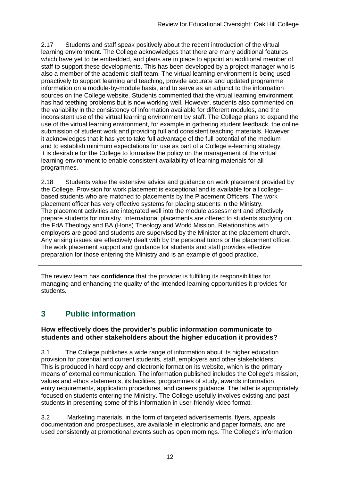2.17 Students and staff speak positively about the recent introduction of the virtual learning environment. The College acknowledges that there are many additional features which have yet to be embedded, and plans are in place to appoint an additional member of staff to support these developments. This has been developed by a project manager who is also a member of the academic staff team. The virtual learning environment is being used proactively to support learning and teaching, provide accurate and updated programme information on a module-by-module basis, and to serve as an adjunct to the information sources on the College website. Students commented that the virtual learning environment has had teething problems but is now working well. However, students also commented on the variability in the consistency of information available for different modules, and the inconsistent use of the virtual learning environment by staff. The College plans to expand the use of the virtual learning environment, for example in gathering student feedback, the online submission of student work and providing full and consistent teaching materials. However, it acknowledges that it has yet to take full advantage of the full potential of the medium and to establish minimum expectations for use as part of a College e-learning strategy. It is desirable for the College to formalise the policy on the management of the virtual learning environment to enable consistent availability of learning materials for all programmes.

2.18 Students value the extensive advice and guidance on work placement provided by the College. Provision for work placement is exceptional and is available for all collegebased students who are matched to placements by the Placement Officers. The work placement officer has very effective systems for placing students in the Ministry. The placement activities are integrated well into the module assessment and effectively prepare students for ministry. International placements are offered to students studying on the FdA Theology and BA (Hons) Theology and World Mission. Relationships with employers are good and students are supervised by the Minister at the placement church. Any arising issues are effectively dealt with by the personal tutors or the placement officer. The work placement support and guidance for students and staff provides effective preparation for those entering the Ministry and is an example of good practice.

The review team has **confidence** that the provider is fulfilling its responsibilities for managing and enhancing the quality of the intended learning opportunities it provides for students.

## **3 Public information**

#### **How effectively does the provider's public information communicate to students and other stakeholders about the higher education it provides?**

3.1 The College publishes a wide range of information about its higher education provision for potential and current students, staff, employers and other stakeholders. This is produced in hard copy and electronic format on its website, which is the primary means of external communication. The information published includes the College's mission, values and ethos statements, its facilities, programmes of study, awards information, entry requirements, application procedures, and careers guidance. The latter is appropriately focused on students entering the Ministry. The College usefully involves existing and past students in presenting some of this information in user-friendly video format.

3.2 Marketing materials, in the form of targeted advertisements, flyers, appeals documentation and prospectuses, are available in electronic and paper formats, and are used consistently at promotional events such as open mornings. The College's information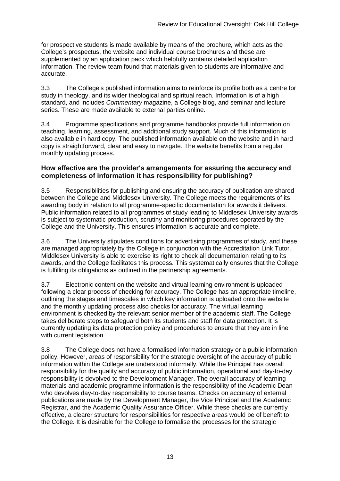for prospective students is made available by means of the brochure*,* which acts as the College's prospectus, the website and individual course brochures and these are supplemented by an application pack which helpfully contains detailed application information. The review team found that materials given to students are informative and accurate.

3.3 The College's published information aims to reinforce its profile both as a centre for study in theology, and its wider theological and spiritual reach. Information is of a high standard, and includes *Commentary* magazine, a College blog, and seminar and lecture series. These are made available to external parties online.

3.4 Programme specifications and programme handbooks provide full information on teaching, learning, assessment, and additional study support. Much of this information is also available in hard copy. The published information available on the website and in hard copy is straightforward, clear and easy to navigate. The website benefits from a regular monthly updating process.

#### **How effective are the provider's arrangements for assuring the accuracy and completeness of information it has responsibility for publishing?**

3.5 Responsibilities for publishing and ensuring the accuracy of publication are shared between the College and Middlesex University. The College meets the requirements of its awarding body in relation to all programme-specific documentation for awards it delivers. Public information related to all programmes of study leading to Middlesex University awards is subject to systematic production, scrutiny and monitoring procedures operated by the College and the University. This ensures information is accurate and complete.

3.6 The University stipulates conditions for advertising programmes of study, and these are managed appropriately by the College in conjunction with the Accreditation Link Tutor. Middlesex University is able to exercise its right to check all documentation relating to its awards, and the College facilitates this process. This systematically ensures that the College is fulfilling its obligations as outlined in the partnership agreements.

3.7 Electronic content on the website and virtual learning environment is uploaded following a clear process of checking for accuracy. The College has an appropriate timeline. outlining the stages and timescales in which key information is uploaded onto the website and the monthly updating process also checks for accuracy. The virtual learning environment is checked by the relevant senior member of the academic staff. The College takes deliberate steps to safeguard both its students and staff for data protection. It is currently updating its data protection policy and procedures to ensure that they are in line with current legislation.

3.8 The College does not have a formalised information strategy or a public information policy. However, areas of responsibility for the strategic oversight of the accuracy of public information within the College are understood informally. While the Principal has overall responsibility for the quality and accuracy of public information, operational and day-to-day responsibility is devolved to the Development Manager. The overall accuracy of learning materials and academic programme information is the responsibility of the Academic Dean who devolves day-to-day responsibility to course teams. Checks on accuracy of external publications are made by the Development Manager, the Vice Principal and the Academic Registrar, and the Academic Quality Assurance Officer. While these checks are currently effective, a clearer structure for responsibilities for respective areas would be of benefit to the College. It is desirable for the College to formalise the processes for the strategic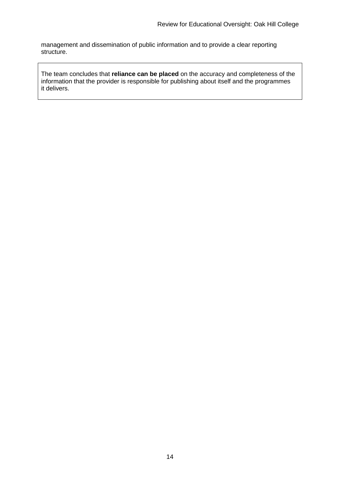management and dissemination of public information and to provide a clear reporting structure.

The team concludes that **reliance can be placed** on the accuracy and completeness of the information that the provider is responsible for publishing about itself and the programmes it delivers.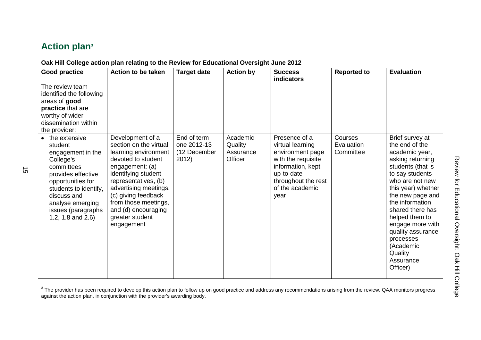## **Action plan<sup>3</sup>**

| Oak Hill College action plan relating to the Review for Educational Oversight June 2012                                                                                                                                         |                                                                                                                                                                                                                                                                                            |                                      |                                 |                                                                                                                                                 |                         |                                                                                                                                                                                                                                                                                                                                              |  |  |
|---------------------------------------------------------------------------------------------------------------------------------------------------------------------------------------------------------------------------------|--------------------------------------------------------------------------------------------------------------------------------------------------------------------------------------------------------------------------------------------------------------------------------------------|--------------------------------------|---------------------------------|-------------------------------------------------------------------------------------------------------------------------------------------------|-------------------------|----------------------------------------------------------------------------------------------------------------------------------------------------------------------------------------------------------------------------------------------------------------------------------------------------------------------------------------------|--|--|
| <b>Good practice</b>                                                                                                                                                                                                            | <b>Action to be taken</b>                                                                                                                                                                                                                                                                  | <b>Target date</b>                   | <b>Action by</b>                | <b>Success</b><br><b>indicators</b>                                                                                                             | <b>Reported to</b>      | <b>Evaluation</b>                                                                                                                                                                                                                                                                                                                            |  |  |
| The review team<br>identified the following<br>areas of good<br>practice that are<br>worthy of wider<br>dissemination within<br>the provider:                                                                                   |                                                                                                                                                                                                                                                                                            | End of term                          | Academic                        | Presence of a                                                                                                                                   | Courses                 |                                                                                                                                                                                                                                                                                                                                              |  |  |
| • the extensive<br>student<br>engagement in the<br>College's<br>committees<br>provides effective<br>opportunities for<br>students to identify,<br>discuss and<br>analyse emerging<br>issues (paragraphs<br>1.2, 1.8 and $2.6$ ) | Development of a<br>section on the virtual<br>learning environment<br>devoted to student<br>engagement: (a)<br>identifying student<br>representatives, (b)<br>advertising meetings,<br>(c) giving feedback<br>from those meetings,<br>and (d) encouraging<br>greater student<br>engagement | one 2012-13<br>(12 December<br>2012) | Quality<br>Assurance<br>Officer | virtual learning<br>environment page<br>with the requisite<br>information, kept<br>up-to-date<br>throughout the rest<br>of the academic<br>year | Evaluation<br>Committee | Brief survey at<br>the end of the<br>academic year,<br>asking returning<br>students (that is<br>to say students<br>who are not new<br>this year) whether<br>the new page and<br>the information<br>shared there has<br>helped them to<br>engage more with<br>quality assurance<br>processes<br>(Academic<br>Quality<br>Assurance<br>Officer) |  |  |

The provider has been required to develop this action plan to follow up on good practice and address any recommendations arising from the review. QAA monitors progress<br>The provider has been required to develop this action against the action plan, in conjunction with the provider's awarding body.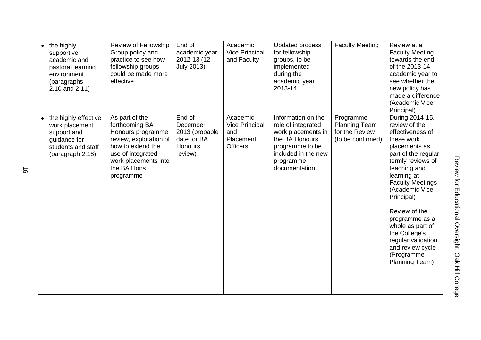| the highly<br>$\bullet$<br>supportive<br>academic and<br>pastoral learning<br>environment<br>(paragraphs<br>$2.10$ and $2.11$ ) | Review of Fellowship<br>Group policy and<br>practice to see how<br>fellowship groups<br>could be made more<br>effective                                                       | End of<br>academic year<br>2012-13 (12<br><b>July 2013)</b>               | Academic<br><b>Vice Principal</b><br>and Faculty                         | <b>Updated process</b><br>for fellowship<br>groups, to be<br>implemented<br>during the<br>academic year<br>2013-14                                       | <b>Faculty Meeting</b>                                                   | Review at a<br><b>Faculty Meeting</b><br>towards the end<br>of the 2013-14<br>academic year to<br>see whether the<br>new policy has<br>made a difference<br>(Academic Vice<br>Principal)                                                                                                                                                                                    |
|---------------------------------------------------------------------------------------------------------------------------------|-------------------------------------------------------------------------------------------------------------------------------------------------------------------------------|---------------------------------------------------------------------------|--------------------------------------------------------------------------|----------------------------------------------------------------------------------------------------------------------------------------------------------|--------------------------------------------------------------------------|-----------------------------------------------------------------------------------------------------------------------------------------------------------------------------------------------------------------------------------------------------------------------------------------------------------------------------------------------------------------------------|
| the highly effective<br>work placement<br>support and<br>guidance for<br>students and staff<br>(paragraph 2.18)                 | As part of the<br>forthcoming BA<br>Honours programme<br>review, exploration of<br>how to extend the<br>use of integrated<br>work placements into<br>the BA Hons<br>programme | End of<br>December<br>2013 (probable<br>date for BA<br>Honours<br>review) | Academic<br><b>Vice Principal</b><br>and<br>Placement<br><b>Officers</b> | Information on the<br>role of integrated<br>work placements in<br>the BA Honours<br>programme to be<br>included in the new<br>programme<br>documentation | Programme<br><b>Planning Team</b><br>for the Review<br>(to be confirmed) | During 2014-15,<br>review of the<br>effectiveness of<br>these work<br>placements as<br>part of the regular<br>termly reviews of<br>teaching and<br>learning at<br><b>Faculty Meetings</b><br>(Academic Vice<br>Principal)<br>Review of the<br>programme as a<br>whole as part of<br>the College's<br>regular validation<br>and review cycle<br>(Programme<br>Planning Team) |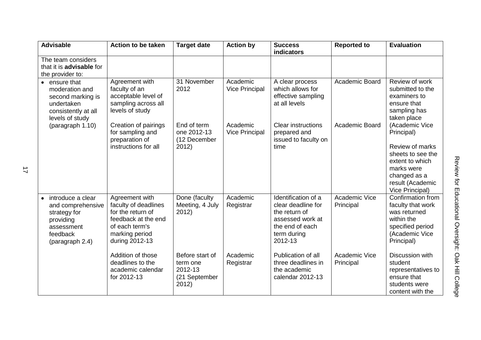| <b>Advisable</b>                                                                                                 | <b>Action to be taken</b>                                                                                                                | <b>Target date</b>                                               | <b>Action by</b>                  | <b>Success</b><br><b>indicators</b>                                                                                         | <b>Reported to</b>         | <b>Evaluation</b>                                                                                                                                            |
|------------------------------------------------------------------------------------------------------------------|------------------------------------------------------------------------------------------------------------------------------------------|------------------------------------------------------------------|-----------------------------------|-----------------------------------------------------------------------------------------------------------------------------|----------------------------|--------------------------------------------------------------------------------------------------------------------------------------------------------------|
| The team considers<br>that it is <b>advisable</b> for<br>the provider to:                                        |                                                                                                                                          |                                                                  |                                   |                                                                                                                             |                            |                                                                                                                                                              |
| • ensure that<br>moderation and<br>second marking is<br>undertaken<br>consistently at all<br>levels of study     | Agreement with<br>faculty of an<br>acceptable level of<br>sampling across all<br>levels of study                                         | 31 November<br>2012                                              | Academic<br><b>Vice Principal</b> | A clear process<br>which allows for<br>effective sampling<br>at all levels                                                  | Academic Board             | Review of work<br>submitted to the<br>examiners to<br>ensure that<br>sampling has<br>taken place                                                             |
| (paragraph 1.10)                                                                                                 | Creation of pairings<br>for sampling and<br>preparation of<br>instructions for all                                                       | End of term<br>one 2012-13<br>(12 December<br>2012)              | Academic<br><b>Vice Principal</b> | <b>Clear instructions</b><br>prepared and<br>issued to faculty on<br>time                                                   | Academic Board             | (Academic Vice<br>Principal)<br>Review of marks<br>sheets to see the<br>extent to which<br>marks were<br>changed as a<br>result (Academic<br>Vice Principal) |
| introduce a clear<br>and comprehensive<br>strategy for<br>providing<br>assessment<br>feedback<br>(paragraph 2.4) | Agreement with<br>faculty of deadlines<br>for the return of<br>feedback at the end<br>of each term's<br>marking period<br>during 2012-13 | Done (faculty<br>Meeting, 4 July<br>2012)                        | Academic<br>Registrar             | Identification of a<br>clear deadline for<br>the return of<br>assessed work at<br>the end of each<br>term during<br>2012-13 | Academic Vice<br>Principal | Confirmation from<br>faculty that work<br>was returned<br>within the<br>specified period<br>(Academic Vice<br>Principal)                                     |
|                                                                                                                  | Addition of those<br>deadlines to the<br>academic calendar<br>for 2012-13                                                                | Before start of<br>term one<br>2012-13<br>(21 September<br>2012) | Academic<br>Registrar             | Publication of all<br>three deadlines in<br>the academic<br>calendar 2012-13                                                | Academic Vice<br>Principal | Discussion with<br>student<br>representatives to<br>ensure that<br>students were<br>content with the                                                         |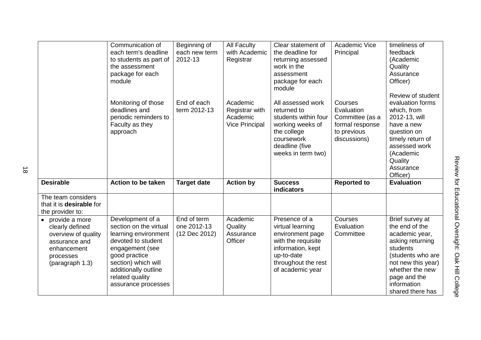|                                                     | Communication of<br>each term's deadline<br>to students as part of<br>the assessment<br>package for each<br>module | Beginning of<br>each new term<br>2012-13 | <b>All Faculty</b><br>with Academic<br>Registrar                       | Clear statement of<br>the deadline for<br>returning assessed<br>work in the<br>assessment<br>package for each<br>module                           | Academic Vice<br>Principal                                                                 | timeliness of<br>feedback<br>(Academic<br>Quality<br>Assurance<br>Officer)<br>Review of student                                                                     |
|-----------------------------------------------------|--------------------------------------------------------------------------------------------------------------------|------------------------------------------|------------------------------------------------------------------------|---------------------------------------------------------------------------------------------------------------------------------------------------|--------------------------------------------------------------------------------------------|---------------------------------------------------------------------------------------------------------------------------------------------------------------------|
|                                                     | Monitoring of those<br>deadlines and<br>periodic reminders to<br>Faculty as they<br>approach                       | End of each<br>term 2012-13              | Academic<br><b>Registrar with</b><br>Academic<br><b>Vice Principal</b> | All assessed work<br>returned to<br>students within four<br>working weeks of<br>the college<br>coursework<br>deadline (five<br>weeks in term two) | Courses<br>Evaluation<br>Committee (as a<br>formal response<br>to previous<br>discussions) | evaluation forms<br>which, from<br>2012-13, will<br>have a new<br>question on<br>timely return of<br>assessed work<br>(Academic<br>Quality<br>Assurance<br>Officer) |
| <b>Desirable</b>                                    | Action to be taken                                                                                                 | <b>Target date</b>                       | <b>Action by</b>                                                       | <b>Success</b><br><b>indicators</b>                                                                                                               | <b>Reported to</b>                                                                         | <b>Evaluation</b>                                                                                                                                                   |
| The team considers                                  |                                                                                                                    |                                          |                                                                        |                                                                                                                                                   |                                                                                            |                                                                                                                                                                     |
| that it is <b>desirable</b> for<br>the provider to: |                                                                                                                    |                                          |                                                                        |                                                                                                                                                   |                                                                                            |                                                                                                                                                                     |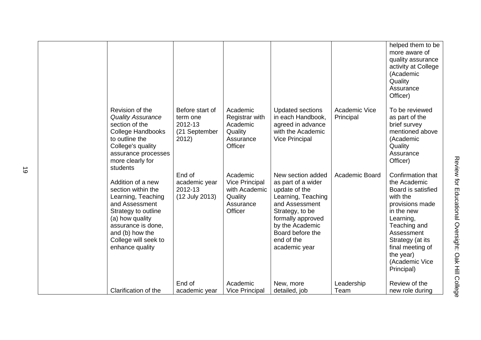|                                                                                                                                                                                                               |                                                                  |                                                                                       |                                                                                                                                                                                                                |                            | helped them to be<br>more aware of<br>quality assurance<br>activity at College<br>(Academic<br>Quality<br>Assurance<br>Officer)                                                                                                      |
|---------------------------------------------------------------------------------------------------------------------------------------------------------------------------------------------------------------|------------------------------------------------------------------|---------------------------------------------------------------------------------------|----------------------------------------------------------------------------------------------------------------------------------------------------------------------------------------------------------------|----------------------------|--------------------------------------------------------------------------------------------------------------------------------------------------------------------------------------------------------------------------------------|
| Revision of the<br><b>Quality Assurance</b><br>section of the<br><b>College Handbooks</b><br>to outline the<br>College's quality<br>assurance processes<br>more clearly for<br>students                       | Before start of<br>term one<br>2012-13<br>(21 September<br>2012) | Academic<br>Registrar with<br>Academic<br>Quality<br>Assurance<br>Officer             | <b>Updated sections</b><br>in each Handbook,<br>agreed in advance<br>with the Academic<br><b>Vice Principal</b>                                                                                                | Academic Vice<br>Principal | To be reviewed<br>as part of the<br>brief survey<br>mentioned above<br>(Academic<br>Quality<br>Assurance<br>Officer)                                                                                                                 |
| Addition of a new<br>section within the<br>Learning, Teaching<br>and Assessment<br>Strategy to outline<br>(a) how quality<br>assurance is done,<br>and (b) how the<br>College will seek to<br>enhance quality | End of<br>academic year<br>2012-13<br>(12 July 2013)             | Academic<br><b>Vice Principal</b><br>with Academic<br>Quality<br>Assurance<br>Officer | New section added<br>as part of a wider<br>update of the<br>Learning, Teaching<br>and Assessment<br>Strategy, to be<br>formally approved<br>by the Academic<br>Board before the<br>end of the<br>academic year | Academic Board             | Confirmation that<br>the Academic<br>Board is satisfied<br>with the<br>provisions made<br>in the new<br>Learning,<br>Teaching and<br>Assessment<br>Strategy (at its<br>final meeting of<br>the year)<br>(Academic Vice<br>Principal) |
| Clarification of the                                                                                                                                                                                          | End of<br>academic year                                          | Academic<br><b>Vice Principal</b>                                                     | New, more<br>detailed, job                                                                                                                                                                                     | Leadership<br>Team         | Review of the<br>new role during                                                                                                                                                                                                     |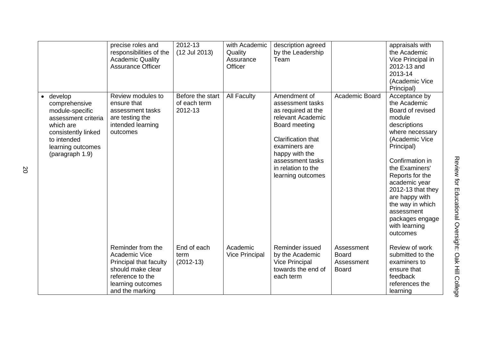|                                                                                                                                                                         | precise roles and<br>responsibilities of the<br><b>Academic Quality</b><br><b>Assurance Officer</b>                                           | 2012-13<br>(12 Jul 2013)                    | with Academic<br>Quality<br>Assurance<br>Officer | description agreed<br>by the Leadership<br>Team                                                                                                                                                                      |                                                          | appraisals with<br>the Academic<br>Vice Principal in<br>2012-13 and<br>2013-14<br>(Academic Vice<br>Principal)                                                                                                                                                                                                                   |
|-------------------------------------------------------------------------------------------------------------------------------------------------------------------------|-----------------------------------------------------------------------------------------------------------------------------------------------|---------------------------------------------|--------------------------------------------------|----------------------------------------------------------------------------------------------------------------------------------------------------------------------------------------------------------------------|----------------------------------------------------------|----------------------------------------------------------------------------------------------------------------------------------------------------------------------------------------------------------------------------------------------------------------------------------------------------------------------------------|
| $\bullet$ develop<br>comprehensive<br>module-specific<br>assessment criteria<br>which are<br>consistently linked<br>to intended<br>learning outcomes<br>(paragraph 1.9) | Review modules to<br>ensure that<br>assessment tasks<br>are testing the<br>intended learning<br>outcomes                                      | Before the start<br>of each term<br>2012-13 | <b>All Faculty</b>                               | Amendment of<br>assessment tasks<br>as required at the<br>relevant Academic<br>Board meeting<br>Clarification that<br>examiners are<br>happy with the<br>assessment tasks<br>in relation to the<br>learning outcomes | Academic Board                                           | Acceptance by<br>the Academic<br>Board of revised<br>module<br>descriptions<br>where necessary<br>(Academic Vice<br>Principal)<br>Confirmation in<br>the Examiners'<br>Reports for the<br>academic year<br>2012-13 that they<br>are happy with<br>the way in which<br>assessment<br>packages engage<br>with learning<br>outcomes |
|                                                                                                                                                                         | Reminder from the<br>Academic Vice<br>Principal that faculty<br>should make clear<br>reference to the<br>learning outcomes<br>and the marking | End of each<br>term<br>$(2012-13)$          | Academic<br><b>Vice Principal</b>                | Reminder issued<br>by the Academic<br><b>Vice Principal</b><br>towards the end of<br>each term                                                                                                                       | Assessment<br><b>Board</b><br>Assessment<br><b>Board</b> | Review of work<br>submitted to the<br>examiners to<br>ensure that<br>feedback<br>references the<br>learning                                                                                                                                                                                                                      |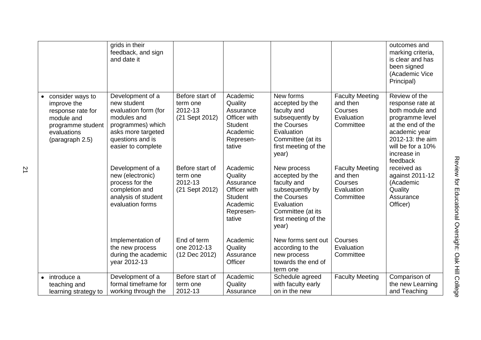|                                                                                                                           | grids in their<br>feedback, and sign<br>and date it                                                                                                         |                                                          |                                                                                                       |                                                                                                                                                     |                                                                          | outcomes and<br>marking criteria,<br>is clear and has<br>been signed<br>(Academic Vice<br>Principal)                                                                              |
|---------------------------------------------------------------------------------------------------------------------------|-------------------------------------------------------------------------------------------------------------------------------------------------------------|----------------------------------------------------------|-------------------------------------------------------------------------------------------------------|-----------------------------------------------------------------------------------------------------------------------------------------------------|--------------------------------------------------------------------------|-----------------------------------------------------------------------------------------------------------------------------------------------------------------------------------|
| consider ways to<br>improve the<br>response rate for<br>module and<br>programme student<br>evaluations<br>(paragraph 2.5) | Development of a<br>new student<br>evaluation form (for<br>modules and<br>programmes) which<br>asks more targeted<br>questions and is<br>easier to complete | Before start of<br>term one<br>2012-13<br>(21 Sept 2012) | Academic<br>Quality<br>Assurance<br>Officer with<br><b>Student</b><br>Academic<br>Represen-<br>tative | New forms<br>accepted by the<br>faculty and<br>subsequently by<br>the Courses<br>Evaluation<br>Committee (at its<br>first meeting of the<br>year)   | <b>Faculty Meeting</b><br>and then<br>Courses<br>Evaluation<br>Committee | Review of the<br>response rate at<br>both module and<br>programme level<br>at the end of the<br>academic year<br>2012-13: the aim<br>will be for a 10%<br>increase in<br>feedback |
|                                                                                                                           | Development of a<br>new (electronic)<br>process for the<br>completion and<br>analysis of student<br>evaluation forms                                        | Before start of<br>term one<br>2012-13<br>(21 Sept 2012) | Academic<br>Quality<br>Assurance<br>Officer with<br><b>Student</b><br>Academic<br>Represen-<br>tative | New process<br>accepted by the<br>faculty and<br>subsequently by<br>the Courses<br>Evaluation<br>Committee (at its<br>first meeting of the<br>year) | <b>Faculty Meeting</b><br>and then<br>Courses<br>Evaluation<br>Committee | received as<br>against 2011-12<br>(Academic<br>Quality<br>Assurance<br>Officer)                                                                                                   |
|                                                                                                                           | Implementation of<br>the new process<br>during the academic<br>year 2012-13                                                                                 | End of term<br>one 2012-13<br>(12 Dec 2012)              | Academic<br>Quality<br>Assurance<br>Officer                                                           | New forms sent out<br>according to the<br>new process<br>towards the end of<br>term one                                                             | Courses<br>Evaluation<br>Committee                                       |                                                                                                                                                                                   |
| introduce a<br>teaching and<br>learning strategy to                                                                       | Development of a<br>formal timeframe for<br>working through the                                                                                             | Before start of<br>term one<br>2012-13                   | Academic<br>Quality<br>Assurance                                                                      | Schedule agreed<br>with faculty early<br>on in the new                                                                                              | <b>Faculty Meeting</b>                                                   | Comparison of<br>the new Learning<br>and Teaching                                                                                                                                 |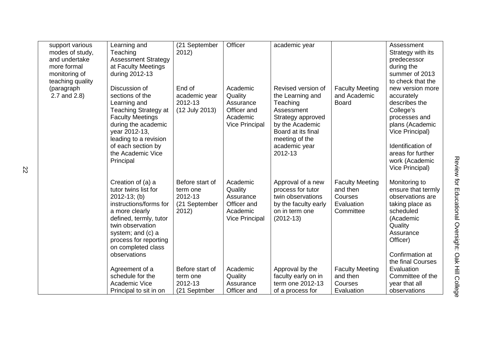| predecessor<br>during the<br>summer of 2013<br>to check that the<br>new version more                                                     |                                                    |
|------------------------------------------------------------------------------------------------------------------------------------------|----------------------------------------------------|
| accurately<br>describes the<br>College's<br>processes and<br>plans (Academic<br>Vice Principal)                                          |                                                    |
| <b>Identification of</b><br>areas for further<br>work (Academic<br>Vice Principal)                                                       |                                                    |
| Monitoring to<br>ensure that termly<br>observations are<br>taking place as<br>scheduled<br>(Academic<br>Quality<br>Assurance<br>Officer) | Review for Educational Oversight: Oak Hill College |
| Confirmation at<br>the final Courses<br>Evaluation<br>Committee of the<br>year that all<br>observations                                  |                                                    |

|                                                                                                                                                                                                                                              |                                                                  |                                                                                      |                                                                                                                                                                              |                                                                          | predecessor<br>during the<br>summer of 2013<br>to check that the                                                                                                                                   |
|----------------------------------------------------------------------------------------------------------------------------------------------------------------------------------------------------------------------------------------------|------------------------------------------------------------------|--------------------------------------------------------------------------------------|------------------------------------------------------------------------------------------------------------------------------------------------------------------------------|--------------------------------------------------------------------------|----------------------------------------------------------------------------------------------------------------------------------------------------------------------------------------------------|
| Discussion of<br>sections of the<br>Learning and<br><b>Teaching Strategy at</b><br><b>Faculty Meetings</b><br>during the academic<br>year 2012-13,<br>leading to a revision<br>of each section by<br>the Academic Vice<br>Principal          | End of<br>academic year<br>2012-13<br>(12 July 2013)             | Academic<br>Quality<br>Assurance<br>Officer and<br>Academic<br><b>Vice Principal</b> | Revised version of<br>the Learning and<br>Teaching<br>Assessment<br>Strategy approved<br>by the Academic<br>Board at its final<br>meeting of the<br>academic year<br>2012-13 | <b>Faculty Meeting</b><br>and Academic<br><b>Board</b>                   | new version more<br>accurately<br>describes the<br>College's<br>processes and<br>plans (Academic<br>Vice Principal)<br>Identification of<br>areas for further<br>work (Academic<br>Vice Principal) |
| Creation of (a) a<br>tutor twins list for<br>$2012 - 13$ ; (b)<br>instructions/forms for<br>a more clearly<br>defined, termly, tutor<br>twin observation<br>system; and (c) a<br>process for reporting<br>on completed class<br>observations | Before start of<br>term one<br>2012-13<br>(21 September<br>2012) | Academic<br>Quality<br>Assurance<br>Officer and<br>Academic<br><b>Vice Principal</b> | Approval of a new<br>process for tutor<br>twin observations<br>by the faculty early<br>on in term one<br>$(2012-13)$                                                         | <b>Faculty Meeting</b><br>and then<br>Courses<br>Evaluation<br>Committee | Monitoring to<br>ensure that termly<br>observations are<br>taking place as<br>scheduled<br>(Academic<br>Quality<br>Assurance<br>Officer)<br>Confirmation at<br>the final Courses                   |
| Agreement of a<br>schedule for the<br><b>Academic Vice</b>                                                                                                                                                                                   | Before start of<br>term one<br>2012-13                           | Academic<br>Quality<br>Assurance                                                     | Approval by the<br>faculty early on in<br>term one 2012-13                                                                                                                   | <b>Faculty Meeting</b><br>and then<br>Courses                            | Evaluation<br>Committee of the<br>year that all<br>observations                                                                                                                                    |
|                                                                                                                                                                                                                                              | during 2012-13<br>Principal to sit in on                         | (21 Septmber                                                                         | Officer and                                                                                                                                                                  | of a process for                                                         | Evaluation                                                                                                                                                                                         |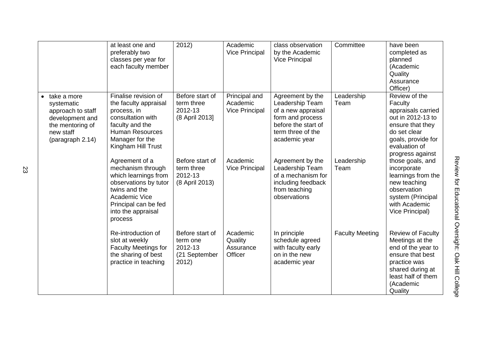|                                                                                                                        | at least one and<br>preferably two<br>classes per year for<br>each faculty member                                                                                               | 2012)                                                            | Academic<br><b>Vice Principal</b>                  | class observation<br>by the Academic<br><b>Vice Principal</b>                                                                              | Committee              | have been<br>completed as<br>planned<br>(Academic<br>Quality<br>Assurance<br>Officer)                                                                                   |
|------------------------------------------------------------------------------------------------------------------------|---------------------------------------------------------------------------------------------------------------------------------------------------------------------------------|------------------------------------------------------------------|----------------------------------------------------|--------------------------------------------------------------------------------------------------------------------------------------------|------------------------|-------------------------------------------------------------------------------------------------------------------------------------------------------------------------|
| take a more<br>systematic<br>approach to staff<br>development and<br>the mentoring of<br>new staff<br>(paragraph 2.14) | Finalise revision of<br>the faculty appraisal<br>process, in<br>consultation with<br>faculty and the<br><b>Human Resources</b><br>Manager for the<br>Kingham Hill Trust         | Before start of<br>term three<br>2012-13<br>(8 April 2013)       | Principal and<br>Academic<br><b>Vice Principal</b> | Agreement by the<br>Leadership Team<br>of a new appraisal<br>form and process<br>before the start of<br>term three of the<br>academic year | Leadership<br>Team     | Review of the<br>Faculty<br>appraisals carried<br>out in 2012-13 to<br>ensure that they<br>do set clear<br>goals, provide for<br>evaluation of<br>progress against      |
|                                                                                                                        | Agreement of a<br>mechanism through<br>which learnings from<br>observations by tutor<br>twins and the<br>Academic Vice<br>Principal can be fed<br>into the appraisal<br>process | Before start of<br>term three<br>2012-13<br>(8 April 2013)       | Academic<br><b>Vice Principal</b>                  | Agreement by the<br>Leadership Team<br>of a mechanism for<br>including feedback<br>from teaching<br>observations                           | Leadership<br>Team     | those goals, and<br>incorporate<br>learnings from the<br>new teaching<br>observation<br>system (Principal<br>with Academic<br>Vice Principal)                           |
|                                                                                                                        | Re-introduction of<br>slot at weekly<br><b>Faculty Meetings for</b><br>the sharing of best<br>practice in teaching                                                              | Before start of<br>term one<br>2012-13<br>(21 September<br>2012) | Academic<br>Quality<br>Assurance<br>Officer        | In principle<br>schedule agreed<br>with faculty early<br>on in the new<br>academic year                                                    | <b>Faculty Meeting</b> | <b>Review of Faculty</b><br>Meetings at the<br>end of the year to<br>ensure that best<br>practice was<br>shared during at<br>least half of them<br>(Academic<br>Quality |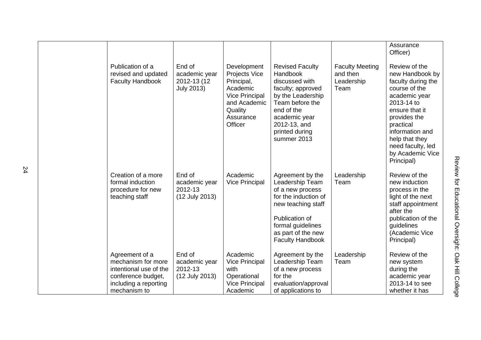|                                                                                      |                                                             |                                                                                                                             |                                                                                                                                                                                                   |                                                          | Assurance<br>Officer)                                                                                                                                                                                                                             |
|--------------------------------------------------------------------------------------|-------------------------------------------------------------|-----------------------------------------------------------------------------------------------------------------------------|---------------------------------------------------------------------------------------------------------------------------------------------------------------------------------------------------|----------------------------------------------------------|---------------------------------------------------------------------------------------------------------------------------------------------------------------------------------------------------------------------------------------------------|
| Publication of a<br>revised and updated<br><b>Faculty Handbook</b>                   | End of<br>academic year<br>2012-13 (12<br><b>July 2013)</b> | Development<br>Projects Vice<br>Principal,<br>Academic<br>Vice Principal<br>and Academic<br>Quality<br>Assurance<br>Officer | <b>Revised Faculty</b><br>Handbook<br>discussed with<br>faculty; approved<br>by the Leadership<br>Team before the<br>end of the<br>academic year<br>2012-13, and<br>printed during<br>summer 2013 | <b>Faculty Meeting</b><br>and then<br>Leadership<br>Team | Review of the<br>new Handbook by<br>faculty during the<br>course of the<br>academic year<br>2013-14 to<br>ensure that it<br>provides the<br>practical<br>information and<br>help that they<br>need faculty, led<br>by Academic Vice<br>Principal) |
| Creation of a more<br>formal induction<br>procedure for new<br>teaching staff        | End of<br>academic year<br>2012-13<br>(12 July 2013)        | Academic<br><b>Vice Principal</b>                                                                                           | Agreement by the<br>Leadership Team<br>of a new process<br>for the induction of<br>new teaching staff<br>Publication of<br>formal guidelines<br>as part of the new<br><b>Faculty Handbook</b>     | Leadership<br>Team                                       | Review of the<br>new induction<br>process in the<br>light of the next<br>staff appointment<br>after the<br>publication of the<br>guidelines<br>(Academic Vice<br>Principal)                                                                       |
| Agreement of a<br>mechanism for more<br>intentional use of the<br>conference budget, | End of<br>academic year<br>2012-13<br>(12 July 2013)        | Academic<br><b>Vice Principal</b><br>with<br>Operational                                                                    | Agreement by the<br>Leadership Team<br>of a new process<br>for the                                                                                                                                | Leadership<br>Team                                       | Review of the<br>new system<br>during the<br>academic year                                                                                                                                                                                        |
| including a reporting<br>mechanism to                                                |                                                             | <b>Vice Principal</b><br>Academic                                                                                           | evaluation/approval<br>of applications to                                                                                                                                                         |                                                          | 2013-14 to see<br>whether it has                                                                                                                                                                                                                  |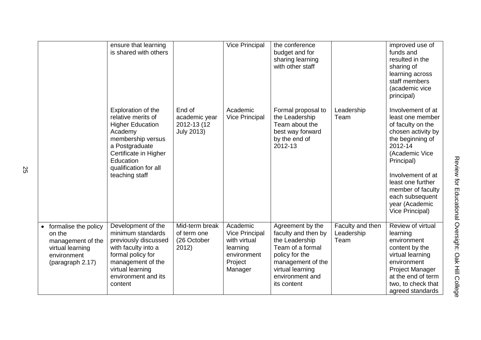|           |                                                                                                            | ensure that learning<br>is shared with others                                                                                                                                                          |                                                             | <b>Vice Principal</b>                                                                              | the conference<br>budget and for<br>sharing learning<br>with other staff                                                                                                   |                                        | improved use of<br>funds and<br>resulted in the<br>sharing of<br>learning across<br>staff members<br>(academic vice<br>principal)                                                                                                                                      |
|-----------|------------------------------------------------------------------------------------------------------------|--------------------------------------------------------------------------------------------------------------------------------------------------------------------------------------------------------|-------------------------------------------------------------|----------------------------------------------------------------------------------------------------|----------------------------------------------------------------------------------------------------------------------------------------------------------------------------|----------------------------------------|------------------------------------------------------------------------------------------------------------------------------------------------------------------------------------------------------------------------------------------------------------------------|
|           |                                                                                                            | Exploration of the<br>relative merits of<br><b>Higher Education</b><br>Academy<br>membership versus<br>a Postgraduate<br>Certificate in Higher<br>Education<br>qualification for all<br>teaching staff | End of<br>academic year<br>2012-13 (12<br><b>July 2013)</b> | Academic<br><b>Vice Principal</b>                                                                  | Formal proposal to<br>the Leadership<br>Team about the<br>best way forward<br>by the end of<br>2012-13                                                                     | Leadership<br>Team                     | Involvement of at<br>least one member<br>of faculty on the<br>chosen activity by<br>the beginning of<br>2012-14<br>(Academic Vice<br>Principal)<br>Involvement of at<br>least one further<br>member of faculty<br>each subsequent<br>year (Academic<br>Vice Principal) |
| $\bullet$ | formalise the policy<br>on the<br>management of the<br>virtual learning<br>environment<br>(paragraph 2.17) | Development of the<br>minimum standards<br>previously discussed<br>with faculty into a<br>formal policy for<br>management of the<br>virtual learning<br>environment and its<br>content                 | Mid-term break<br>of term one<br>(26 October<br>2012)       | Academic<br><b>Vice Principal</b><br>with virtual<br>learning<br>environment<br>Project<br>Manager | Agreement by the<br>faculty and then by<br>the Leadership<br>Team of a formal<br>policy for the<br>management of the<br>virtual learning<br>environment and<br>its content | Faculty and then<br>Leadership<br>Team | Review of virtual<br>learning<br>environment<br>content by the<br>virtual learning<br>environment<br>Project Manager<br>at the end of term<br>two, to check that<br>agreed standards                                                                                   |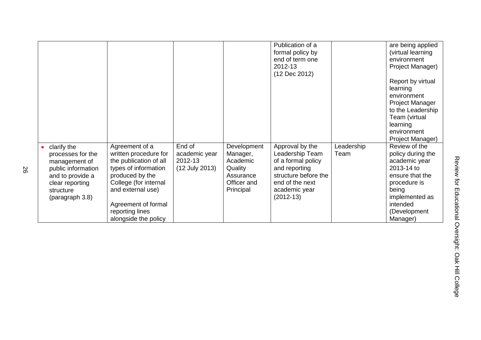|                                                                                                                                                |                                                                                                                                                                                                                              |                                                      |                                                                                         | Publication of a<br>formal policy by<br>end of term one<br>2012-13<br>(12 Dec 2012)                                                                  |                    | are being applied<br>(virtual learning<br>environment<br>Project Manager)<br>Report by virtual<br>learning<br>environment<br><b>Project Manager</b><br>to the Leadership<br>Team (virtual<br>learning<br>environment<br>Project Manager) |
|------------------------------------------------------------------------------------------------------------------------------------------------|------------------------------------------------------------------------------------------------------------------------------------------------------------------------------------------------------------------------------|------------------------------------------------------|-----------------------------------------------------------------------------------------|------------------------------------------------------------------------------------------------------------------------------------------------------|--------------------|------------------------------------------------------------------------------------------------------------------------------------------------------------------------------------------------------------------------------------------|
| clarify the<br>processes for the<br>management of<br>public information<br>and to provide a<br>clear reporting<br>structure<br>(paragraph 3.8) | Agreement of a<br>written procedure for<br>the publication of all<br>types of information<br>produced by the<br>College (for internal<br>and external use)<br>Agreement of formal<br>reporting lines<br>alongside the policy | End of<br>academic year<br>2012-13<br>(12 July 2013) | Development<br>Manager,<br>Academic<br>Quality<br>Assurance<br>Officer and<br>Principal | Approval by the<br>Leadership Team<br>of a formal policy<br>and reporting<br>structure before the<br>end of the next<br>academic year<br>$(2012-13)$ | Leadership<br>Team | Review of the<br>policy during the<br>academic year<br>2013-14 to<br>ensure that the<br>procedure is<br>being<br>implemented as<br>intended<br>(Development<br>Manager)                                                                  |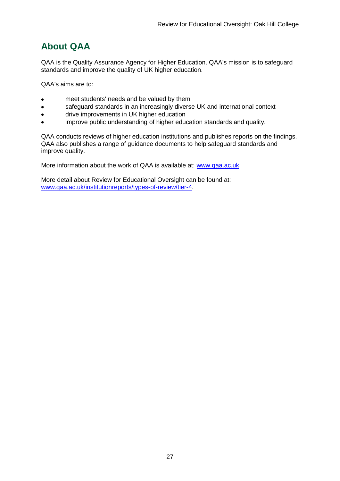## <span id="page-27-0"></span>**About QAA**

QAA is the Quality Assurance Agency for Higher Education. QAA's mission is to safeguard standards and improve the quality of UK higher education.

QAA's aims are to:

- meet students' needs and be valued by them
- safeguard standards in an increasingly diverse UK and international context  $\bullet$
- drive improvements in UK higher education  $\bullet$
- improve public understanding of higher education standards and quality.

QAA conducts reviews of higher education institutions and publishes reports on the findings. QAA also publishes a range of guidance documents to help safeguard standards and improve quality.

More information about the work of QAA is available at: [www.qaa.ac.uk.](http://www.qaa.ac.uk/)

<span id="page-27-1"></span>More detail about Review for Educational Oversight can be found at: [www.qaa.ac.uk/institutionreports/types-of-review/tier-4.](http://www.qaa.ac.uk/institutionreports/types-of-review/tier-4)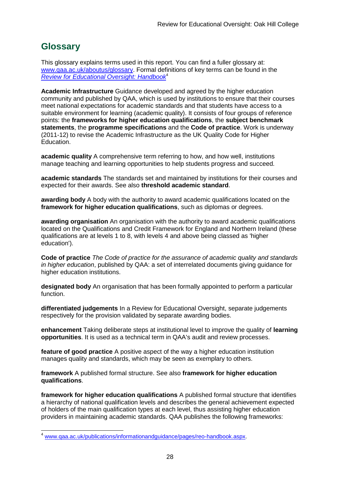## **Glossary**

This glossary explains terms used in this report. You can find a fuller glossary at: [www.qaa.ac.uk/aboutus/glossary.](http://www.qaa.ac.uk/aboutus/glossary) Formal definitions of key terms can be found in the *[Review for Educational Oversight: Handbook](http://www.qaa.ac.uk/Publications/InformationAndGuidance/Pages/REO-handbook.aspx)*<sup>4</sup>

**Academic Infrastructure** Guidance developed and agreed by the higher education community and published by QAA, which is used by institutions to ensure that their courses meet national expectations for academic standards and that students have access to a suitable environment for learning (academic quality). It consists of four groups of reference points: the **frameworks for higher education qualifications**, the **subject benchmark statements**, the **programme specifications** and the **[Code of practice](http://www.qaa.ac.uk/AboutUs/glossary/Pages/glossary-c.aspx#c2)**. Work is underway (2011-12) to revise the Academic Infrastructure as the UK [Quality Code](http://www.qaa.ac.uk/AboutUs/glossary/Pages/glossary-q.aspx#q5) for Higher Education.

**academic quality** A comprehensive term referring to how, and how well, institutions manage teaching and learning opportunities to help students progress and succeed.

**academic standards** The standards set and maintained by institutions for their courses and expected for their awards. See also **threshold academic standard**.

**awarding body** A body with the authority to award academic qualifications located on the **framework for higher education qualifications**, such as diplomas or degrees.

**awarding organisation** An organisation with the authority to award academic qualifications located on the Qualifications and Credit Framework for England and Northern Ireland (these qualifications are at levels 1 to 8, with levels 4 and above being classed as 'higher education').

**Code of practice** *The Code of practice for the assurance of academic quality and standards in higher education*, published by QAA: a set of interrelated documents giving guidance for higher education institutions.

**designated body** An organisation that has been formally appointed to perform a particular function.

**differentiated judgements** In a Review for Educational Oversight, separate judgements respectively for the provision validated by separate awarding bodies.

**enhancement** Taking deliberate steps at institutional level to improve the quality of **[learning](http://www.qaa.ac.uk/aboutus/glossary/pages/glossary-l.aspx#l1)  [opportunities](http://www.qaa.ac.uk/aboutus/glossary/pages/glossary-l.aspx#l1)**. It is used as a technical term in QAA's audit and review processes.

**feature of good practice** A positive aspect of the way a higher education institution manages quality and standards, which may be seen as exemplary to others.

**framework** A published formal structure. See also **framework for higher education qualifications**.

**framework for higher education qualifications** A published formal structure that identifies a hierarchy of national qualification levels and describes the general achievement expected of holders of the main qualification types at each level, thus assisting higher education providers in maintaining academic standards. QAA publishes the following frameworks:

[www.qaa.ac.uk/publications/informationandguidance/pages/reo-handbook.aspx.](http://www.qaa.ac.uk/publications/informationandguidance/pages/reo-handbook.aspx)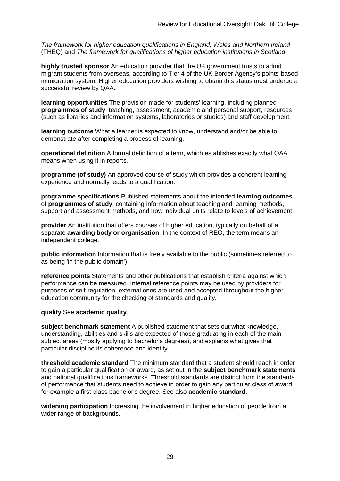*The framework for higher education qualifications in England, Wales and Northern Ireland* (FHEQ) and *The framework for qualifications of higher education institutions in Scotland*.

**highly trusted sponsor** An education provider that the UK government trusts to admit migrant students from overseas, according to Tier 4 of the UK Border Agency's points-based immigration system. Higher education providers wishing to obtain this status must undergo a successful review by QAA.

**learning opportunities** The provision made for students' learning, including planned **[programmes of study](http://newlive.qaa.ac.uk/aboutus/glossary/pages/glossary-p.aspx#p12)**, teaching, assessment, academic and personal support, resources (such as libraries and information systems, laboratories or studios) and staff development.

**learning outcome** What a learner is expected to know, understand and/or be able to demonstrate after completing a process of learning.

**operational definition** A formal definition of a term, which establishes exactly what QAA means when using it in reports.

**programme (of study)** An approved course of study which provides a coherent learning experience and normally leads to a qualification.

**programme specifications** Published statements about the intended **[learning outcomes](http://newlive.qaa.ac.uk/aboutus/glossary/pages/glossary-l.aspx#l2)** of **programmes of study**, containing information about teaching and learning methods, support and assessment methods, and how individual units relate to levels of achievement.

**provider** An institution that offers courses of higher education, typically on behalf of a separate **awarding body or organisation**. In the context of REO, the term means an independent college.

**public information** Information that is freely available to the public (sometimes referred to as being 'in the public domain').

**reference points** Statements and other publications that establish criteria against which performance can be measured. Internal reference points may be used by providers for purposes of self-regulation; external ones are used and accepted throughout the higher education community for the checking of standards and quality.

#### **quality** See **academic quality**.

**subject benchmark statement** A published statement that sets out what knowledge, understanding, abilities and skills are expected of those graduating in each of the main subject areas (mostly applying to [bachelor's degrees\)](http://newlive.qaa.ac.uk/aboutus/glossary/pages/glossary-b/aspx#b1), and explains what gives that particular discipline its coherence and identity.

**threshold academic standard** The minimum standard that a student should reach in order to gain a particular qualification or award, as set out in the **[subject benchmark statements](http://newlive.qaa.ac.uk/aboutus/glossary/pages/glossary-s.aspx#s7)** and national [qualifications frameworks.](http://newlive.qaa.ac.uk/aboutus/glossary/pages/glossary-q.aspx#q3) Threshold standards are distinct from the standards of performance that students need to achieve in order to gain any particular class of award, for example a first-class bachelor's degree. See also **[academic standard](http://newlive.qaa.ac.uk/aboutus/glossary/pages/glossary-a.aspx#a3)**.

**widening participation** Increasing the involvement in higher education of people from a wider range of backgrounds.